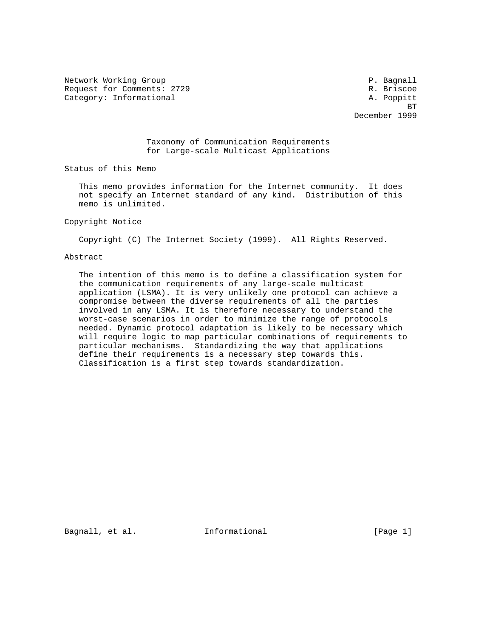Network Working Group **P. Bagnall** Request for Comments: 2729 R. Briscoe Category: Informational A. Poppitt

is a strong of the state of the state of the state of the state of the state of the state of the state of the December 1999

# Taxonomy of Communication Requirements for Large-scale Multicast Applications

Status of this Memo

 This memo provides information for the Internet community. It does not specify an Internet standard of any kind. Distribution of this memo is unlimited.

## Copyright Notice

Copyright (C) The Internet Society (1999). All Rights Reserved.

## Abstract

 The intention of this memo is to define a classification system for the communication requirements of any large-scale multicast application (LSMA). It is very unlikely one protocol can achieve a compromise between the diverse requirements of all the parties involved in any LSMA. It is therefore necessary to understand the worst-case scenarios in order to minimize the range of protocols needed. Dynamic protocol adaptation is likely to be necessary which will require logic to map particular combinations of requirements to particular mechanisms. Standardizing the way that applications define their requirements is a necessary step towards this. Classification is a first step towards standardization.

Bagnall, et al. **Informational** [Page 1]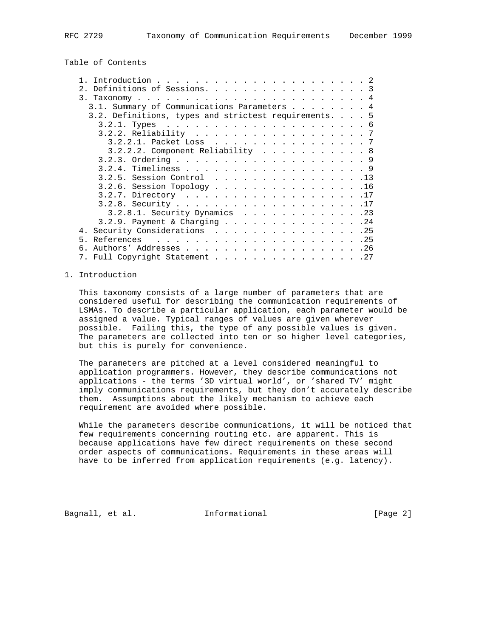Table of Contents

| Definitions of Sessions. 3                          |  |
|-----------------------------------------------------|--|
|                                                     |  |
| 3.1. Summary of Communications Parameters 4         |  |
| 3.2. Definitions, types and strictest requirements5 |  |
|                                                     |  |
| 3.2.2. Reliability 7                                |  |
| 3.2.2.1. Packet Loss 7                              |  |
| $3.2.2.2$ . Component Reliability 8                 |  |
|                                                     |  |
|                                                     |  |
| 3.2.5. Session Control 13                           |  |
| 3.2.6. Session Topology 16                          |  |
| 3.2.7. Directory 17                                 |  |
|                                                     |  |
| $3.2.8.1.$ Security Dynamics 23                     |  |
| 3.2.9. Payment & Charging 24                        |  |
| 4. Security Considerations 25                       |  |
|                                                     |  |
| б.                                                  |  |
| 7. Full Copyright Statement 27                      |  |
|                                                     |  |

## 1. Introduction

 This taxonomy consists of a large number of parameters that are considered useful for describing the communication requirements of LSMAs. To describe a particular application, each parameter would be assigned a value. Typical ranges of values are given wherever possible. Failing this, the type of any possible values is given. The parameters are collected into ten or so higher level categories, but this is purely for convenience.

 The parameters are pitched at a level considered meaningful to application programmers. However, they describe communications not applications - the terms '3D virtual world', or 'shared TV' might imply communications requirements, but they don't accurately describe them. Assumptions about the likely mechanism to achieve each requirement are avoided where possible.

 While the parameters describe communications, it will be noticed that few requirements concerning routing etc. are apparent. This is because applications have few direct requirements on these second order aspects of communications. Requirements in these areas will have to be inferred from application requirements (e.g. latency).

Bagnall, et al. **Informational** [Page 2]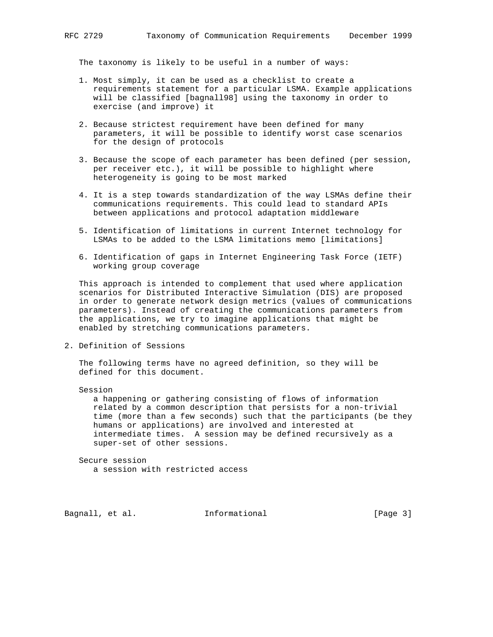The taxonomy is likely to be useful in a number of ways:

- 1. Most simply, it can be used as a checklist to create a requirements statement for a particular LSMA. Example applications will be classified [bagnall98] using the taxonomy in order to exercise (and improve) it
- 2. Because strictest requirement have been defined for many parameters, it will be possible to identify worst case scenarios for the design of protocols
- 3. Because the scope of each parameter has been defined (per session, per receiver etc.), it will be possible to highlight where heterogeneity is going to be most marked
- 4. It is a step towards standardization of the way LSMAs define their communications requirements. This could lead to standard APIs between applications and protocol adaptation middleware
- 5. Identification of limitations in current Internet technology for LSMAs to be added to the LSMA limitations memo [limitations]
- 6. Identification of gaps in Internet Engineering Task Force (IETF) working group coverage

 This approach is intended to complement that used where application scenarios for Distributed Interactive Simulation (DIS) are proposed in order to generate network design metrics (values of communications parameters). Instead of creating the communications parameters from the applications, we try to imagine applications that might be enabled by stretching communications parameters.

2. Definition of Sessions

 The following terms have no agreed definition, so they will be defined for this document.

Session

 a happening or gathering consisting of flows of information related by a common description that persists for a non-trivial time (more than a few seconds) such that the participants (be they humans or applications) are involved and interested at intermediate times. A session may be defined recursively as a super-set of other sessions.

 Secure session a session with restricted access

Bagnall, et al. **Informational** [Page 3]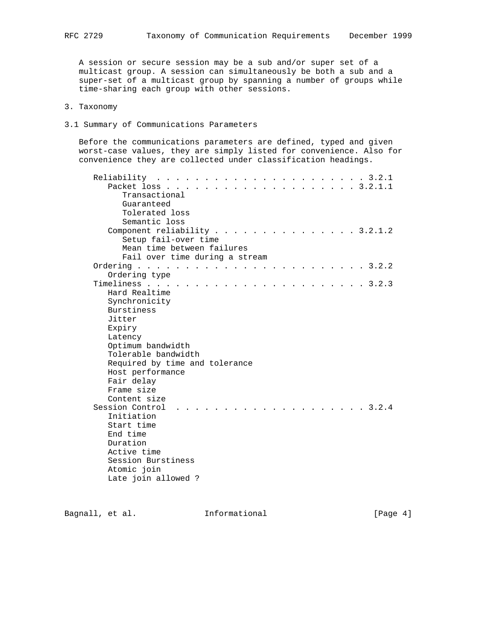A session or secure session may be a sub and/or super set of a multicast group. A session can simultaneously be both a sub and a super-set of a multicast group by spanning a number of groups while time-sharing each group with other sessions.

- 3. Taxonomy
- 3.1 Summary of Communications Parameters

 Before the communications parameters are defined, typed and given worst-case values, they are simply listed for convenience. Also for convenience they are collected under classification headings.

| . 3.2.1.1<br>Packet loss                                                                       |
|------------------------------------------------------------------------------------------------|
| Transactional                                                                                  |
| Guaranteed                                                                                     |
| Tolerated loss                                                                                 |
| Semantic loss                                                                                  |
| Component reliability 3.2.1.2                                                                  |
| Setup fail-over time                                                                           |
| Mean time between failures                                                                     |
| Fail over time during a stream                                                                 |
|                                                                                                |
| Ordering type                                                                                  |
|                                                                                                |
| Hard Realtime                                                                                  |
| Synchronicity                                                                                  |
| Burstiness                                                                                     |
| Jitter                                                                                         |
| Expiry                                                                                         |
| Latency                                                                                        |
| Optimum bandwidth                                                                              |
| Tolerable bandwidth                                                                            |
| Required by time and tolerance                                                                 |
| Host performance<br>Fair delay                                                                 |
| Frame size                                                                                     |
| Content size                                                                                   |
| Session Control<br>$\cdot \cdot \cdot \cdot \cdot 3.2.4$<br>$\sim$ $\sim$ $\sim$ $\sim$ $\sim$ |
| Initiation                                                                                     |
| Start time                                                                                     |
| End time                                                                                       |
| Duration                                                                                       |
| Active time                                                                                    |
| Session Burstiness                                                                             |
| Atomic join                                                                                    |
| Late join allowed?                                                                             |
|                                                                                                |

Bagnall, et al. 1nformational 1999 [Page 4]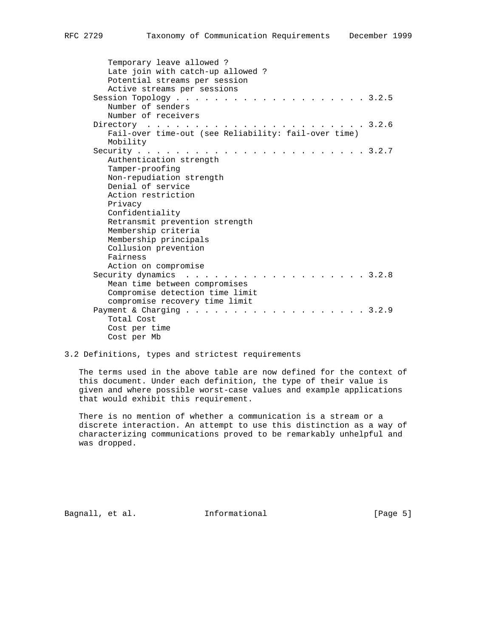| Temporary leave allowed?<br>Late join with catch-up allowed?<br>Potential streams per session<br>Active streams per sessions |  |
|------------------------------------------------------------------------------------------------------------------------------|--|
| Session Topology<br>. 3.2.5                                                                                                  |  |
| Number of senders<br>Number of receivers                                                                                     |  |
| 3.2.6<br>Directory                                                                                                           |  |
| $\sim$ $\sim$ $\sim$ $\sim$<br>Fail-over time-out (see Reliability: fail-over time)                                          |  |
| Mobility                                                                                                                     |  |
| Security<br>$\cdot \cdot \cdot \cdot 3.2.7$                                                                                  |  |
| Authentication strength                                                                                                      |  |
| Tamper-proofing                                                                                                              |  |
| Non-repudiation strength                                                                                                     |  |
| Denial of service                                                                                                            |  |
| Action restriction                                                                                                           |  |
| Privacy                                                                                                                      |  |
| Confidentiality                                                                                                              |  |
| Retransmit prevention strength                                                                                               |  |
| Membership criteria                                                                                                          |  |
| Membership principals                                                                                                        |  |
| Collusion prevention                                                                                                         |  |
| Fairness                                                                                                                     |  |
| Action on compromise                                                                                                         |  |
| 3.2.8<br>Security dynamics                                                                                                   |  |
| Mean time between compromises                                                                                                |  |
| Compromise detection time limit                                                                                              |  |
| compromise recovery time limit                                                                                               |  |
| Payment & Charging $\ldots$ .<br>.3.2.9                                                                                      |  |
| Total Cost                                                                                                                   |  |
| Cost per time                                                                                                                |  |
| Cost per Mb                                                                                                                  |  |

# 3.2 Definitions, types and strictest requirements

 The terms used in the above table are now defined for the context of this document. Under each definition, the type of their value is given and where possible worst-case values and example applications that would exhibit this requirement.

 There is no mention of whether a communication is a stream or a discrete interaction. An attempt to use this distinction as a way of characterizing communications proved to be remarkably unhelpful and was dropped.

Bagnall, et al. 1nformational 1999 [Page 5]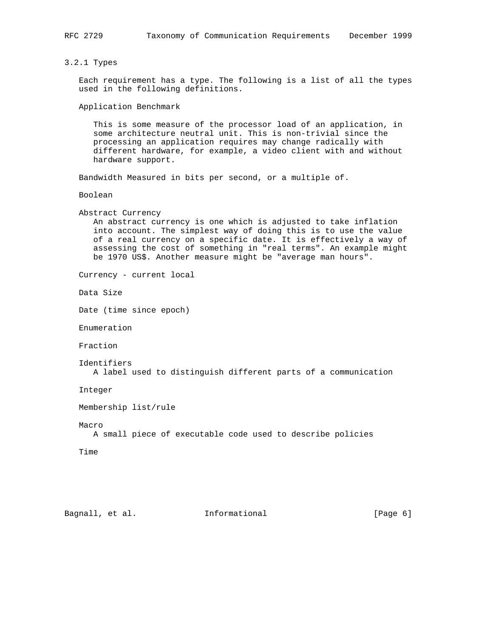# 3.2.1 Types

 Each requirement has a type. The following is a list of all the types used in the following definitions.

Application Benchmark

 This is some measure of the processor load of an application, in some architecture neutral unit. This is non-trivial since the processing an application requires may change radically with different hardware, for example, a video client with and without hardware support.

Bandwidth Measured in bits per second, or a multiple of.

Boolean

 Abstract Currency An abstract currency is one which is adjusted to take inflation into account. The simplest way of doing this is to use the value of a real currency on a specific date. It is effectively a way of assessing the cost of something in "real terms". An example might be 1970 US\$. Another measure might be "average man hours".

Currency - current local

Data Size

Date (time since epoch)

Enumeration

Fraction

```
 Identifiers
   A label used to distinguish different parts of a communication
```
Integer

Membership list/rule

Macro

A small piece of executable code used to describe policies

Time

Bagnall, et al. **Informational** [Page 6]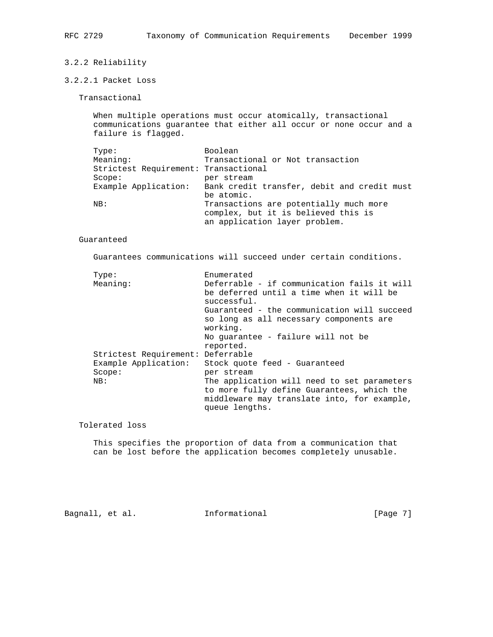# 3.2.2 Reliability

# 3.2.2.1 Packet Loss

Transactional

 When multiple operations must occur atomically, transactional communications guarantee that either all occur or none occur and a failure is flagged.

| Type:                                | Boolean                                     |
|--------------------------------------|---------------------------------------------|
| Meaning:                             | Transactional or Not transaction            |
| Strictest Requirement: Transactional |                                             |
| Score:                               | per stream                                  |
| Example Application:                 | Bank credit transfer, debit and credit must |
|                                      | be atomic.                                  |
| NB:                                  | Transactions are potentially much more      |
|                                      | complex, but it is believed this is         |
|                                      | an application layer problem.               |

#### Guaranteed

Guarantees communications will succeed under certain conditions.

| Type:                             | Enumerated                                                    |
|-----------------------------------|---------------------------------------------------------------|
| Meaning:                          | Deferrable - if communication fails it will                   |
|                                   | be deferred until a time when it will be<br>successful.       |
|                                   | Guaranteed - the communication will succeed                   |
|                                   | so long as all necessary components are<br>working.           |
|                                   | No quarantee - failure will not be                            |
|                                   | reported.                                                     |
| Strictest Requirement: Deferrable |                                                               |
| Example Application:              | Stock quote feed - Guaranteed                                 |
| Scope:                            | per stream                                                    |
| NB:                               | The application will need to set parameters                   |
|                                   | to more fully define Guarantees, which the                    |
|                                   | middleware may translate into, for example,<br>queue lengths. |

Tolerated loss

 This specifies the proportion of data from a communication that can be lost before the application becomes completely unusable.

Bagnall, et al. 1nformational 1999 [Page 7]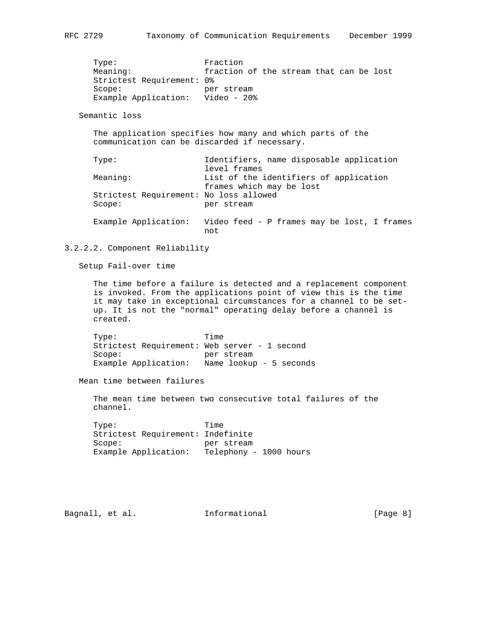Type: Fraction Meaning: fraction of the stream that can be lost Strictest Requirement: 0% Scope: per stream

Semantic loss

 The application specifies how many and which parts of the communication can be discarded if necessary.

Example Application: Video - 20%

| Type:                                  | Identifiers, name disposable application    |
|----------------------------------------|---------------------------------------------|
|                                        | level frames                                |
| Meaning:                               | List of the identifiers of application      |
|                                        | frames which may be lost                    |
| Strictest Requirement: No loss allowed |                                             |
| Score:                                 | per stream                                  |
|                                        |                                             |
| Example Application:                   | Video feed - P frames may be lost, I frames |
|                                        | not                                         |

## 3.2.2.2. Component Reliability

Setup Fail-over time

 The time before a failure is detected and a replacement component is invoked. From the applications point of view this is the time it may take in exceptional circumstances for a channel to be set up. It is not the "normal" operating delay before a channel is created.

 Type: Time Strictest Requirement: Web server - 1 second Scope: per stream Example Application: Name lookup - 5 seconds

Mean time between failures

 The mean time between two consecutive total failures of the channel.

 Type: Time Strictest Requirement: Indefinite Scope: per stream Example Application: Telephony - 1000 hours

Bagnall, et al. 1nformational 1999 [Page 8]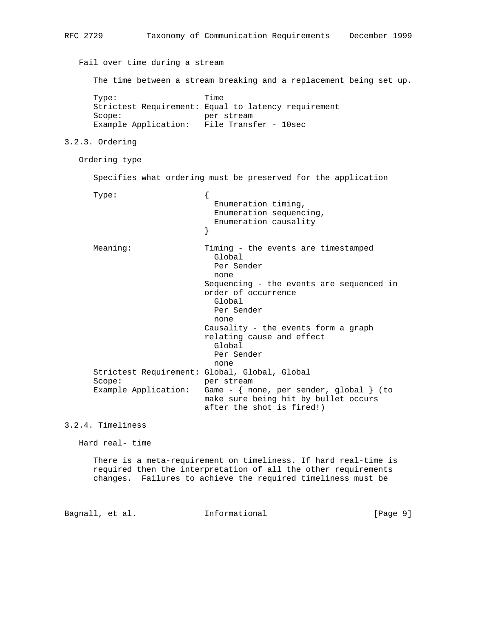```
RFC 2729 Taxonomy of Communication Requirements December 1999
   Fail over time during a stream
      The time between a stream breaking and a replacement being set up.
      Type: Time
      Strictest Requirement: Equal to latency requirement
      Scope: per stream
      Example Application: File Transfer - 10sec
3.2.3. Ordering
   Ordering type
      Specifies what ordering must be preserved for the application
      Type: {
                             Enumeration timing,
                             Enumeration sequencing,
                             Enumeration causality
 }
      Meaning: Timing - the events are timestamped
                             Global
                             Per Sender
                             none
                           Sequencing - the events are sequenced in
                           order of occurrence
                             Global
                             Per Sender
                             none
                           Causality - the events form a graph
                           relating cause and effect
                             Global
                             Per Sender
                             none
      Strictest Requirement: Global, Global, Global
     Scope: per stream
      Example Application: Game - { none, per sender, global } (to
                           make sure being hit by bullet occurs
                           after the shot is fired!)
3.2.4. Timeliness
   Hard real- time
```
 There is a meta-requirement on timeliness. If hard real-time is required then the interpretation of all the other requirements changes. Failures to achieve the required timeliness must be

Bagnall, et al. **Informational** [Page 9]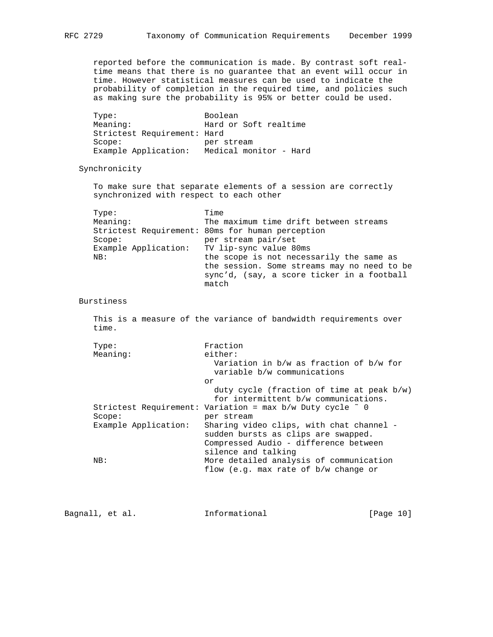reported before the communication is made. By contrast soft real time means that there is no guarantee that an event will occur in time. However statistical measures can be used to indicate the probability of completion in the required time, and policies such as making sure the probability is 95% or better could be used.

Type: Boolean Meaning: Hard or Soft realtime Strictest Requirement: Hard Scope: per stream Example Application: Medical monitor - Hard

Synchronicity

 To make sure that separate elements of a session are correctly synchronized with respect to each other

| Type:    | Time                                             |
|----------|--------------------------------------------------|
| Meaning: | The maximum time drift between streams           |
|          | Strictest Requirement: 80ms for human perception |
| Score:   | per stream pair/set                              |
|          | Example Application: TV lip-sync value 80ms      |
| NB:      | the scope is not necessarily the same as         |
|          | the session. Some streams may no need to be      |
|          | sync'd, (say, a score ticker in a football       |
|          | match                                            |

Burstiness

 This is a measure of the variance of bandwidth requirements over time.

| Type:                | Fraction                                                                                                                 |
|----------------------|--------------------------------------------------------------------------------------------------------------------------|
| Meaning:             | either:                                                                                                                  |
|                      | Variation in $b/w$ as fraction of $b/w$ for<br>variable b/w communications                                               |
|                      | or.                                                                                                                      |
|                      | duty cycle (fraction of time at peak $b/w$ )<br>for intermittent b/w communications.                                     |
|                      | Strictest Requirement: Variation = max $b/w$ Duty cycle $\degree$ 0                                                      |
| Score:               | per stream                                                                                                               |
| Example Application: | Sharing video clips, with chat channel -<br>sudden bursts as clips are swapped.<br>Compressed Audio - difference between |
| NB:                  | silence and talking<br>More detailed analysis of communication<br>flow (e.g. max rate of $b/w$ change or                 |

Bagnall, et al. 1nformational [Page 10]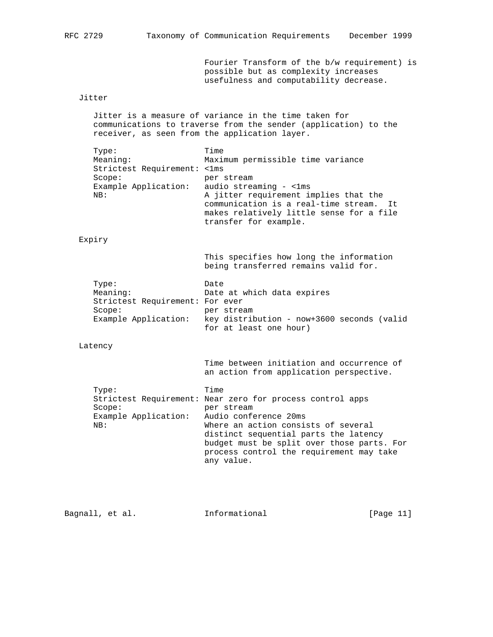Fourier Transform of the b/w requirement) is possible but as complexity increases usefulness and computability decrease.

# Jitter

 Jitter is a measure of variance in the time taken for communications to traverse from the sender (application) to the receiver, as seen from the application layer.

| Type:                       | Time                                        |
|-----------------------------|---------------------------------------------|
| Meaning:                    | Maximum permissible time variance           |
| Strictest Requirement: <1ms |                                             |
| Score:                      | per stream                                  |
| Example Application:        | audio streaming - <1ms                      |
| NB:                         | A jitter requirement implies that the       |
|                             | communication is a real-time stream.<br>Tt. |
|                             | makes relatively little sense for a file    |
|                             | transfer for example.                       |

#### Expiry

 This specifies how long the information being transferred remains valid for.

| Type:                           | Date                                       |
|---------------------------------|--------------------------------------------|
| Meaning:                        | Date at which data expires                 |
| Strictest Requirement: For ever |                                            |
| Scope:                          | per stream                                 |
| Example Application:            | key distribution - now+3600 seconds (valid |
|                                 | for at least one hour)                     |

Latency

 Time between initiation and occurrence of an action from application perspective.

| Type:                                      | Time                                                      |
|--------------------------------------------|-----------------------------------------------------------|
|                                            | Strictest Requirement: Near zero for process control apps |
| Score:                                     | per stream                                                |
| Example Application: Audio conference 20ms |                                                           |
| NB:                                        | Where an action consists of several                       |
|                                            | distinct sequential parts the latency                     |
|                                            | budget must be split over those parts. For                |
|                                            | process control the requirement may take                  |
|                                            | any value.                                                |
|                                            |                                                           |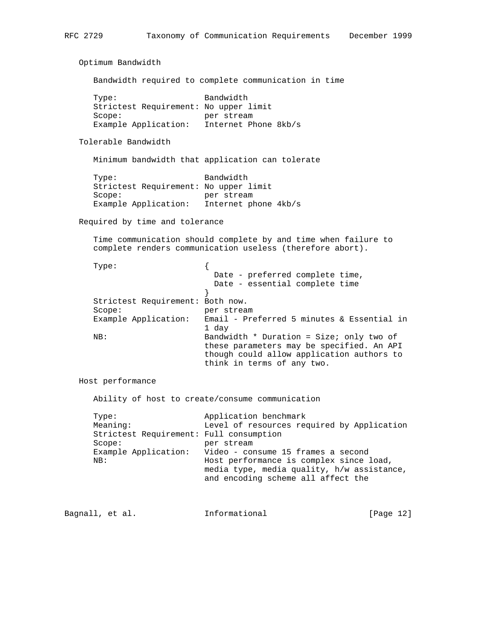Optimum Bandwidth

Bandwidth required to complete communication in time

| Type:                                 | Bandwidth            |
|---------------------------------------|----------------------|
| Strictest Requirement: No upper limit |                      |
| Scope:                                | per stream           |
| Example Application:                  | Internet Phone 8kb/s |

Tolerable Bandwidth

Minimum bandwidth that application can tolerate

| Type:                                 | Bandwidth            |
|---------------------------------------|----------------------|
| Strictest Requirement: No upper limit |                      |
| Scope:                                | per stream           |
| Example Application:                  | Internet phone 4kb/s |

Required by time and tolerance

 Time communication should complete by and time when failure to complete renders communication useless (therefore abort).

|     | Type:                            |                                            |
|-----|----------------------------------|--------------------------------------------|
|     |                                  | Date - preferred complete time,            |
|     |                                  | Date - essential complete time             |
|     |                                  |                                            |
|     | Strictest Requirement: Both now. |                                            |
|     | Score:                           | per stream                                 |
|     | Example Application:             | Email - Preferred 5 minutes & Essential in |
|     |                                  | 1 day                                      |
| NB: |                                  | Bandwidth $*$ Duration = Size; only two of |
|     |                                  | these parameters may be specified. An API  |
|     |                                  | though could allow application authors to  |
|     |                                  | think in terms of any two.                 |

Host performance

Ability of host to create/consume communication

| Type:<br>Meaning:<br>Strictest Requirement: Full consumption | Application benchmark<br>Level of resources required by Application                                                                                                                                  |
|--------------------------------------------------------------|------------------------------------------------------------------------------------------------------------------------------------------------------------------------------------------------------|
| Score:<br>NB:                                                | per stream<br>Example Application: Video - consume 15 frames a second<br>Host performance is complex since load,<br>media type, media quality, h/w assistance,<br>and encoding scheme all affect the |

Bagnall, et al. 1nformational 1999 [Page 12]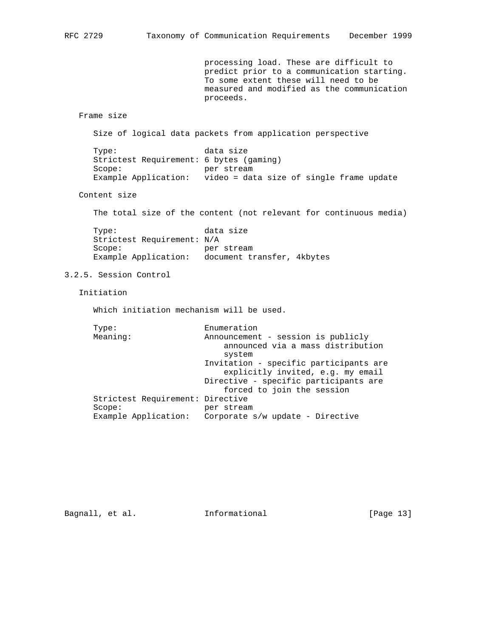processing load. These are difficult to predict prior to a communication starting. To some extent these will need to be measured and modified as the communication proceeds.

Frame size

Size of logical data packets from application perspective

Type: data size Strictest Requirement: 6 bytes (gaming) Scope: per stream Example Application: video = data size of single frame update

Content size

The total size of the content (not relevant for continuous media)

Type: data size Strictest Requirement: N/A Scope: per stream Example Application: document transfer, 4kbytes

3.2.5. Session Control

Initiation

Which initiation mechanism will be used.

| Type:                            | Enumeration                            |
|----------------------------------|----------------------------------------|
| Meaning:                         | Announcement - session is publicly     |
|                                  | announced via a mass distribution      |
|                                  | system                                 |
|                                  | Invitation - specific participants are |
|                                  | explicitly invited, e.g. my email      |
|                                  | Directive - specific participants are  |
|                                  | forced to join the session             |
| Strictest Requirement: Directive |                                        |
| Score:                           | per stream                             |
| Example Application:             | Corporate s/w update - Directive       |
|                                  |                                        |

Bagnall, et al. 1nformational [Page 13]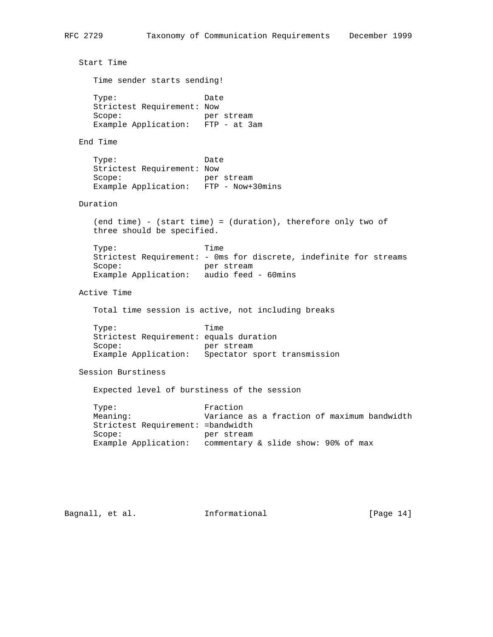```
 Start Time
   Time sender starts sending!
  Type: Date
   Strictest Requirement: Now
   Scope: per stream
   Example Application: FTP - at 3am
 End Time
  Type: Date
   Strictest Requirement: Now
  Scope: per stream
   Example Application: FTP - Now+30mins
 Duration
   (end time) - (start time) = (duration), therefore only two of
   three should be specified.
  Type: Time
   Strictest Requirement: - 0ms for discrete, indefinite for streams
  Scope: per stream
   Example Application: audio feed - 60mins
 Active Time
   Total time session is active, not including breaks
  Type: Time
   Strictest Requirement: equals duration
  Scope: per stream
   Example Application: Spectator sport transmission
 Session Burstiness
   Expected level of burstiness of the session
  Type: Fraction
   Meaning: Variance as a fraction of maximum bandwidth
   Strictest Requirement: =bandwidth
  Scope: per stream
   Example Application: commentary & slide show: 90% of max
```
Bagnall, et al. 1nformational 1999 [Page 14]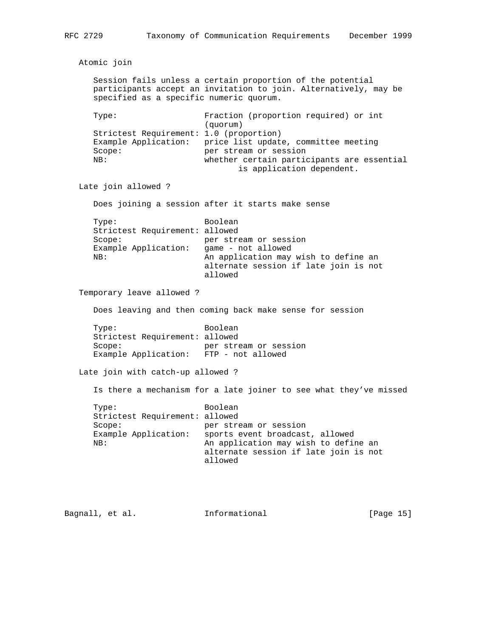Atomic join Session fails unless a certain proportion of the potential participants accept an invitation to join. Alternatively, may be specified as a specific numeric quorum. Type: Fraction (proportion required) or int (quorum) Strictest Requirement: 1.0 (proportion) Example Application: price list update, committee meeting Scope: per stream or session NB: whether certain participants are essential is application dependent. Late join allowed ? Does joining a session after it starts make sense Type: Boolean Strictest Requirement: allowed Scope: per stream or session Example Application: game - not allowed NB: An application may wish to define an alternate session if late join is not allowed Temporary leave allowed ? Does leaving and then coming back make sense for session Type: Boolean Strictest Requirement: allowed Scope: per stream or session Example Application: FTP - not allowed Late join with catch-up allowed ? Is there a mechanism for a late joiner to see what they've missed Type: Boolean Strictest Requirement: allowed Scope: per stream or session Example Application: sports event broadcast, allowed NB: An application may wish to define an alternate session if late join is not allowed

Bagnall, et al. **Informational** [Page 15]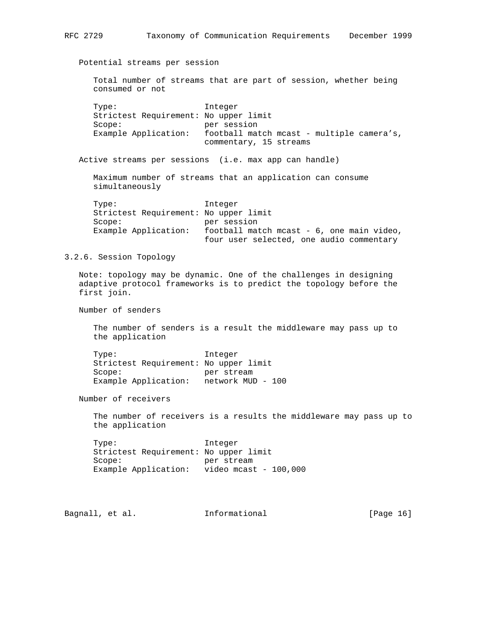Potential streams per session Total number of streams that are part of session, whether being consumed or not Type: Integer Strictest Requirement: No upper limit Scope: per session Example Application: football match mcast - multiple camera's, commentary, 15 streams Active streams per sessions (i.e. max app can handle) Maximum number of streams that an application can consume simultaneously Type: Integer Strictest Requirement: No upper limit Scope: per session Example Application: football match mcast - 6, one main video, four user selected, one audio commentary 3.2.6. Session Topology Note: topology may be dynamic. One of the challenges in designing adaptive protocol frameworks is to predict the topology before the first join. Number of senders The number of senders is a result the middleware may pass up to the application Type: Integer Strictest Requirement: No upper limit Scope: per stream Example Application: network MUD - 100 Number of receivers The number of receivers is a results the middleware may pass up to the application Type: Integer Strictest Requirement: No upper limit Scope: per stream Example Application: video mcast - 100,000 Bagnall, et al. **Informational** [Page 16]

RFC 2729 Taxonomy of Communication Requirements December 1999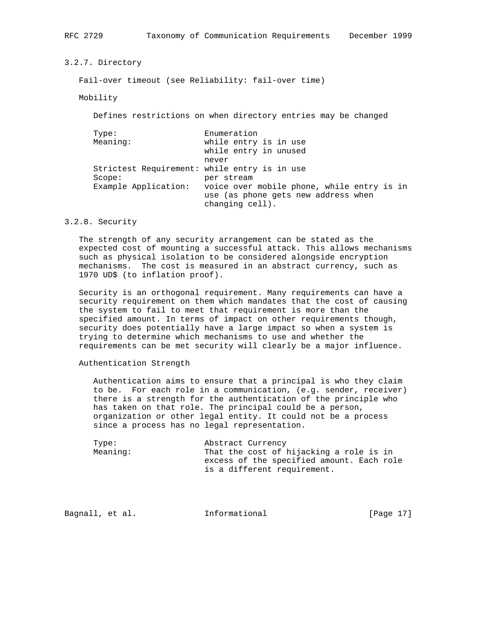3.2.7. Directory

Fail-over timeout (see Reliability: fail-over time)

Mobility

Defines restrictions on when directory entries may be changed

| Type:                | Enumeration                                                                                          |
|----------------------|------------------------------------------------------------------------------------------------------|
| Meaning:             | while entry is in use                                                                                |
|                      | while entry in unused                                                                                |
|                      | never                                                                                                |
|                      | Strictest Requirement: while entry is in use                                                         |
| Score:               | per stream                                                                                           |
| Example Application: | voice over mobile phone, while entry is in<br>use (as phone gets new address when<br>changing cell). |

## 3.2.8. Security

 The strength of any security arrangement can be stated as the expected cost of mounting a successful attack. This allows mechanisms such as physical isolation to be considered alongside encryption mechanisms. The cost is measured in an abstract currency, such as 1970 UD\$ (to inflation proof).

 Security is an orthogonal requirement. Many requirements can have a security requirement on them which mandates that the cost of causing the system to fail to meet that requirement is more than the specified amount. In terms of impact on other requirements though, security does potentially have a large impact so when a system is trying to determine which mechanisms to use and whether the requirements can be met security will clearly be a major influence.

## Authentication Strength

 Authentication aims to ensure that a principal is who they claim to be. For each role in a communication, (e.g. sender, receiver) there is a strength for the authentication of the principle who has taken on that role. The principal could be a person, organization or other legal entity. It could not be a process since a process has no legal representation.

| Type:    | Abstract Currency                         |
|----------|-------------------------------------------|
| Meaning: | That the cost of hijacking a role is in   |
|          | excess of the specified amount. Each role |
|          | is a different requirement.               |

Bagnall, et al. **Informational** [Page 17]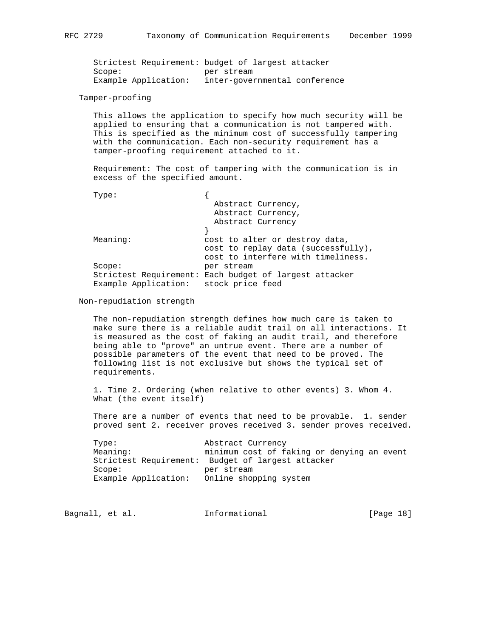Strictest Requirement: budget of largest attacker Scope: per stream Example Application: inter-governmental conference

Tamper-proofing

 This allows the application to specify how much security will be applied to ensuring that a communication is not tampered with. This is specified as the minimum cost of successfully tampering with the communication. Each non-security requirement has a tamper-proofing requirement attached to it.

 Requirement: The cost of tampering with the communication is in excess of the specified amount.

|--|--|

| Type:                |                                                        |
|----------------------|--------------------------------------------------------|
|                      | Abstract Currency,                                     |
|                      | Abstract Currency,                                     |
|                      | Abstract Currency                                      |
|                      |                                                        |
| Meaning:             | cost to alter or destroy data,                         |
|                      | cost to replay data (successfully),                    |
|                      | cost to interfere with timeliness.                     |
| Score:               | per stream                                             |
|                      | Strictest Requirement: Each budget of largest attacker |
| Example Application: | stock price feed                                       |

### Non-repudiation strength

 The non-repudiation strength defines how much care is taken to make sure there is a reliable audit trail on all interactions. It is measured as the cost of faking an audit trail, and therefore being able to "prove" an untrue event. There are a number of possible parameters of the event that need to be proved. The following list is not exclusive but shows the typical set of requirements.

 1. Time 2. Ordering (when relative to other events) 3. Whom 4. What (the event itself)

 There are a number of events that need to be provable. 1. sender proved sent 2. receiver proves received 3. sender proves received.

| Type:                | Abstract Currency                                 |
|----------------------|---------------------------------------------------|
| Meaning:             | minimum cost of faking or denying an event        |
|                      | Strictest Requirement: Budget of largest attacker |
| Scope:               | per stream                                        |
| Example Application: | Online shopping system                            |

| Bagnall, et al. | Informational | [Page 18] |  |
|-----------------|---------------|-----------|--|
|-----------------|---------------|-----------|--|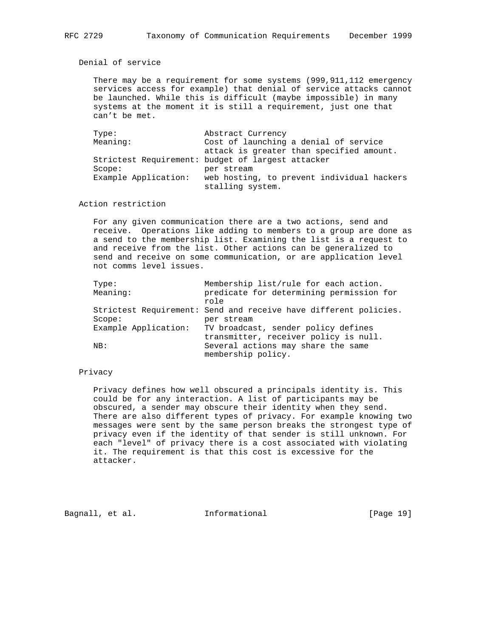Denial of service

 There may be a requirement for some systems (999,911,112 emergency services access for example) that denial of service attacks cannot be launched. While this is difficult (maybe impossible) in many systems at the moment it is still a requirement, just one that can't be met.

| Type:                | Abstract Currency                                 |
|----------------------|---------------------------------------------------|
| Meaning:             | Cost of launching a denial of service             |
|                      | attack is greater than specified amount.          |
|                      | Strictest Requirement: budget of largest attacker |
| Score:               | per stream                                        |
| Example Application: | web hosting, to prevent individual hackers        |
|                      | stalling system.                                  |

Action restriction

 For any given communication there are a two actions, send and receive. Operations like adding to members to a group are done as a send to the membership list. Examining the list is a request to and receive from the list. Other actions can be generalized to send and receive on some communication, or are application level not comms level issues.

| Membership list/rule for each action.                            |
|------------------------------------------------------------------|
| predicate for determining permission for                         |
|                                                                  |
| Strictest Requirement: Send and receive have different policies. |
| per stream                                                       |
| TV broadcast, sender policy defines                              |
| transmitter, receiver policy is null.                            |
| Several actions may share the same                               |
| membership policy.                                               |
|                                                                  |

# Privacy

 Privacy defines how well obscured a principals identity is. This could be for any interaction. A list of participants may be obscured, a sender may obscure their identity when they send. There are also different types of privacy. For example knowing two messages were sent by the same person breaks the strongest type of privacy even if the identity of that sender is still unknown. For each "level" of privacy there is a cost associated with violating it. The requirement is that this cost is excessive for the attacker.

Bagnall, et al. **Informational** [Page 19]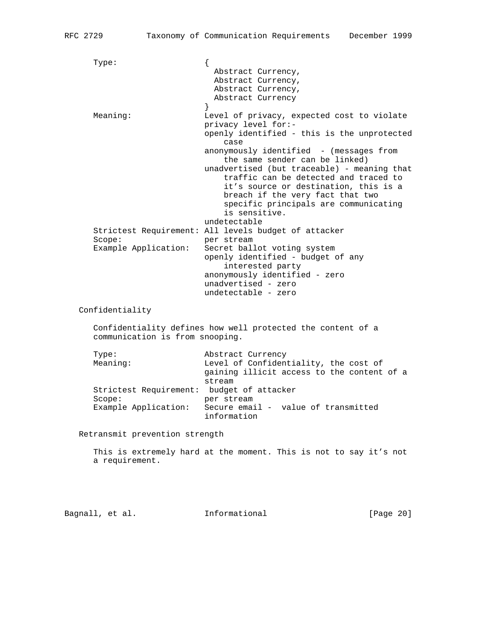Type: { Abstract Currency, Abstract Currency, Abstract Currency, Abstract Currency } Meaning: Level of privacy, expected cost to violate privacy level for: openly identified - this is the unprotected **case** and the case of the case of the case anonymously identified - (messages from the same sender can be linked) unadvertised (but traceable) - meaning that traffic can be detected and traced to it's source or destination, this is a breach if the very fact that two specific principals are communicating is sensitive. undetectable Strictest Requirement: All levels budget of attacker Scope: per stream Example Application: Secret ballot voting system openly identified - budget of any interested party anonymously identified - zero unadvertised - zero undetectable - zero Confidentiality Confidentiality defines how well protected the content of a communication is from snooping. Type: Abstract Currency Meaning: Level of Confidentiality, the cost of gaining illicit access to the content of a stream Strictest Requirement: budget of attacker Scope: per stream Example Application: Secure email - value of transmitted information

Retransmit prevention strength

 This is extremely hard at the moment. This is not to say it's not a requirement.

Bagnall, et al. **Informational** [Page 20]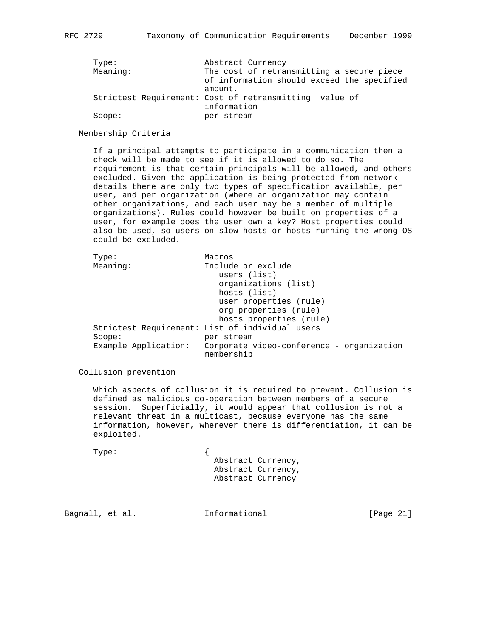| Abstract Currency                                      |
|--------------------------------------------------------|
| The cost of retransmitting a secure piece              |
| of information should exceed the specified             |
| amount.                                                |
| Strictest Requirement: Cost of retransmitting value of |
| information                                            |
| per stream                                             |
|                                                        |

#### Membership Criteria

 If a principal attempts to participate in a communication then a check will be made to see if it is allowed to do so. The requirement is that certain principals will be allowed, and others excluded. Given the application is being protected from network details there are only two types of specification available, per user, and per organization (where an organization may contain other organizations, and each user may be a member of multiple organizations). Rules could however be built on properties of a user, for example does the user own a key? Host properties could also be used, so users on slow hosts or hosts running the wrong OS could be excluded.

| Type:                | Macros                                                  |
|----------------------|---------------------------------------------------------|
| Meaning:             | Include or exclude                                      |
|                      | users (list)                                            |
|                      | organizations (list)                                    |
|                      | hosts (list)                                            |
|                      | user properties (rule)                                  |
|                      | org properties (rule)                                   |
|                      | hosts properties (rule)                                 |
|                      | Strictest Requirement: List of individual users         |
| Score:               | per stream                                              |
| Example Application: | Corporate video-conference - organization<br>membership |

Collusion prevention

 Which aspects of collusion it is required to prevent. Collusion is defined as malicious co-operation between members of a secure session. Superficially, it would appear that collusion is not a relevant threat in a multicast, because everyone has the same information, however, wherever there is differentiation, it can be exploited.

Type: {

 Abstract Currency, Abstract Currency, Abstract Currency

Bagnall, et al. **Informational** [Page 21]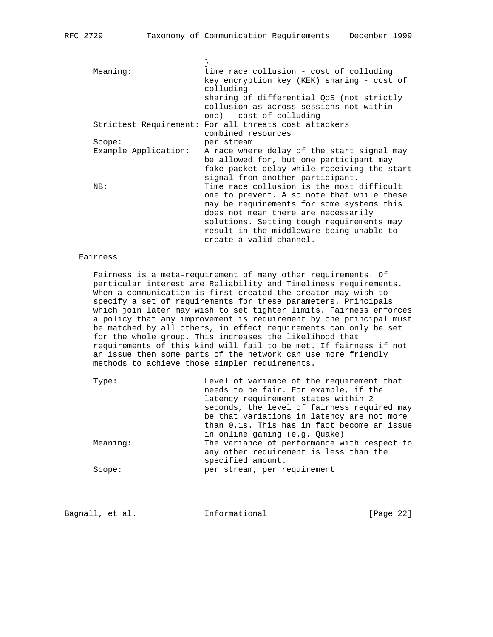| Meaning:             | time race collusion - cost of colluding               |
|----------------------|-------------------------------------------------------|
|                      | key encryption key (KEK) sharing - cost of            |
|                      | colluding                                             |
|                      | sharing of differential QoS (not strictly             |
|                      | collusion as across sessions not within               |
|                      | one) - cost of colluding                              |
|                      | Strictest Requirement: For all threats cost attackers |
|                      | combined resources                                    |
| Score:               | per stream                                            |
| Example Application: | A race where delay of the start signal may            |
|                      | be allowed for, but one participant may               |
|                      | fake packet delay while receiving the start           |
|                      | signal from another participant.                      |
| NB:                  | Time race collusion is the most difficult             |
|                      | one to prevent. Also note that while these            |
|                      | may be requirements for some systems this             |
|                      | does not mean there are necessarily                   |
|                      | solutions. Setting tough requirements may             |
|                      | result in the middleware being unable to              |
|                      | create a valid channel.                               |
|                      |                                                       |

# Fairness

 Fairness is a meta-requirement of many other requirements. Of particular interest are Reliability and Timeliness requirements. When a communication is first created the creator may wish to specify a set of requirements for these parameters. Principals which join later may wish to set tighter limits. Fairness enforces a policy that any improvement is requirement by one principal must be matched by all others, in effect requirements can only be set for the whole group. This increases the likelihood that requirements of this kind will fail to be met. If fairness if not an issue then some parts of the network can use more friendly methods to achieve those simpler requirements.

| Type:    | Level of variance of the requirement that   |
|----------|---------------------------------------------|
|          | needs to be fair. For example, if the       |
|          | latency requirement states within 2         |
|          | seconds, the level of fairness required may |
|          | be that variations in latency are not more  |
|          | than 0.1s. This has in fact become an issue |
|          | in online gaming (e.g. Quake)               |
| Meaning: | The variance of performance with respect to |
|          | any other requirement is less than the      |
|          | specified amount.                           |
| Score:   | per stream, per requirement                 |
|          |                                             |

Bagnall, et al. **Informational** [Page 22]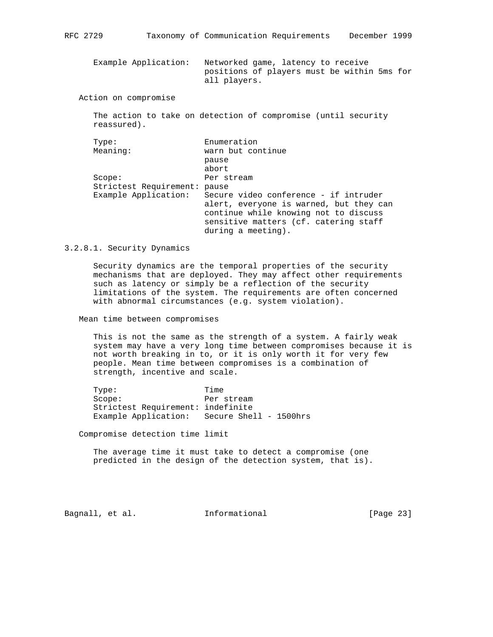Example Application: Networked game, latency to receive positions of players must be within 5ms for all players.

Action on compromise

 The action to take on detection of compromise (until security reassured).

| Enumeration                             |
|-----------------------------------------|
| warn but continue                       |
| pause                                   |
| abort                                   |
| Per stream                              |
| pause                                   |
| Secure video conference - if intruder   |
| alert, everyone is warned, but they can |
| continue while knowing not to discuss   |
| sensitive matters (cf. catering staff   |
| during a meeting).                      |
|                                         |

#### 3.2.8.1. Security Dynamics

 Security dynamics are the temporal properties of the security mechanisms that are deployed. They may affect other requirements such as latency or simply be a reflection of the security limitations of the system. The requirements are often concerned with abnormal circumstances (e.g. system violation).

Mean time between compromises

 This is not the same as the strength of a system. A fairly weak system may have a very long time between compromises because it is not worth breaking in to, or it is only worth it for very few people. Mean time between compromises is a combination of strength, incentive and scale.

 Type: Time Scope: Per stream Strictest Requirement: indefinite Example Application: Secure Shell - 1500hrs

Compromise detection time limit

 The average time it must take to detect a compromise (one predicted in the design of the detection system, that is).

Bagnall, et al. **Informational** [Page 23]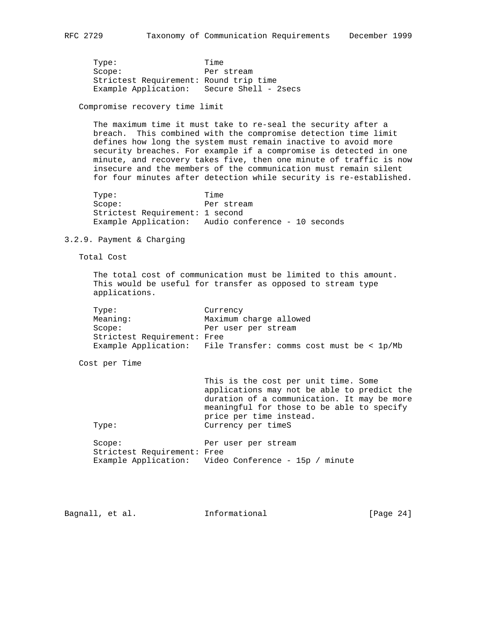Type: Time Scope: Per stream Strictest Requirement: Round trip time Example Application: Secure Shell - 2secs

Compromise recovery time limit

 The maximum time it must take to re-seal the security after a breach. This combined with the compromise detection time limit defines how long the system must remain inactive to avoid more security breaches. For example if a compromise is detected in one minute, and recovery takes five, then one minute of traffic is now insecure and the members of the communication must remain silent for four minutes after detection while security is re-established.

Type: Time Scope: Per stream Strictest Requirement: 1 second Example Application: Audio conference - 10 seconds

## 3.2.9. Payment & Charging

Total Cost

 The total cost of communication must be limited to this amount. This would be useful for transfer as opposed to stream type applications.

| Type:                       | Currency                                  |
|-----------------------------|-------------------------------------------|
| Meaning:                    | Maximum charge allowed                    |
| Scope:                      | Per user per stream                       |
| Strictest Requirement: Free |                                           |
| Example Application:        | File Transfer: comms cost must be < 1p/Mb |

Cost per Time

|                             | This is the cost per unit time. Some                 |
|-----------------------------|------------------------------------------------------|
|                             | applications may not be able to predict the          |
|                             | duration of a communication. It may be more          |
|                             | meaningful for those to be able to specify           |
|                             | price per time instead.                              |
| Type:                       | Currency per timeS                                   |
|                             |                                                      |
| Score:                      | Per user per stream                                  |
| Strictest Requirement: Free |                                                      |
|                             | Example Application: Video Conference - 15p / minute |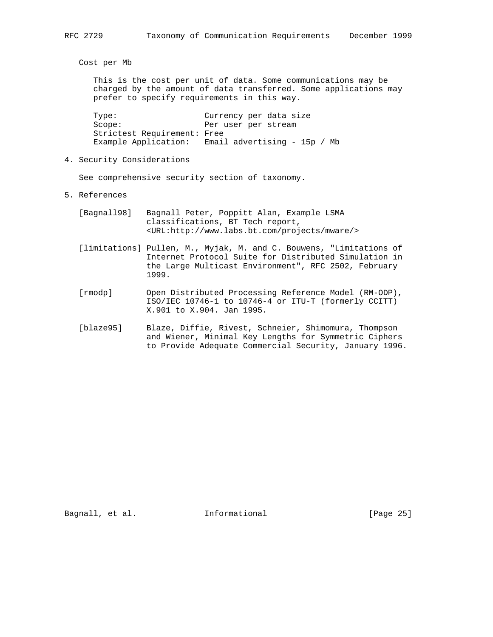Cost per Mb

 This is the cost per unit of data. Some communications may be charged by the amount of data transferred. Some applications may prefer to specify requirements in this way.

 Type: Currency per data size Scope: Per user per stream Strictest Requirement: Free Example Application: Email advertising - 15p / Mb

4. Security Considerations

See comprehensive security section of taxonomy.

- 5. References
	- [Bagnall98] Bagnall Peter, Poppitt Alan, Example LSMA classifications, BT Tech report, <URL:http://www.labs.bt.com/projects/mware/>
	- [limitations] Pullen, M., Myjak, M. and C. Bouwens, "Limitations of Internet Protocol Suite for Distributed Simulation in the Large Multicast Environment", RFC 2502, February 1999.
	- [rmodp] Open Distributed Processing Reference Model (RM-ODP), ISO/IEC 10746-1 to 10746-4 or ITU-T (formerly CCITT) X.901 to X.904. Jan 1995.
	- [blaze95] Blaze, Diffie, Rivest, Schneier, Shimomura, Thompson and Wiener, Minimal Key Lengths for Symmetric Ciphers to Provide Adequate Commercial Security, January 1996.

Bagnall, et al. 1nformational 1999 [Page 25]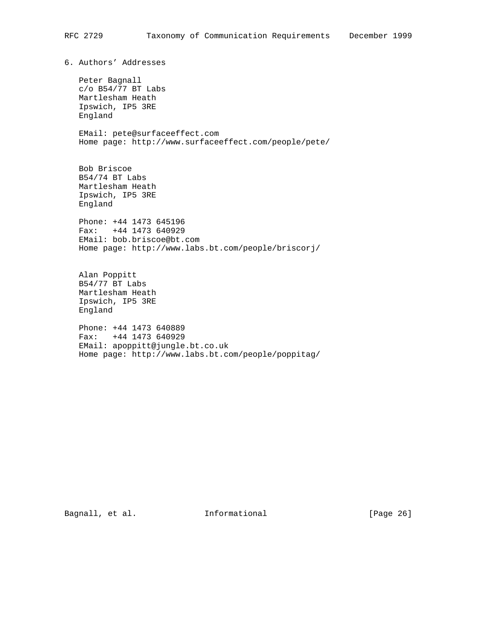6. Authors' Addresses

 Peter Bagnall c/o B54/77 BT Labs Martlesham Heath Ipswich, IP5 3RE England

 EMail: pete@surfaceeffect.com Home page: http://www.surfaceeffect.com/people/pete/

 Bob Briscoe B54/74 BT Labs Martlesham Heath Ipswich, IP5 3RE England

 Phone: +44 1473 645196 Fax: +44 1473 640929 EMail: bob.briscoe@bt.com Home page: http://www.labs.bt.com/people/briscorj/

 Alan Poppitt B54/77 BT Labs Martlesham Heath Ipswich, IP5 3RE England

 Phone: +44 1473 640889 Fax: +44 1473 640929 EMail: apoppitt@jungle.bt.co.uk Home page: http://www.labs.bt.com/people/poppitag/

Bagnall, et al. 1nformational [Page 26]